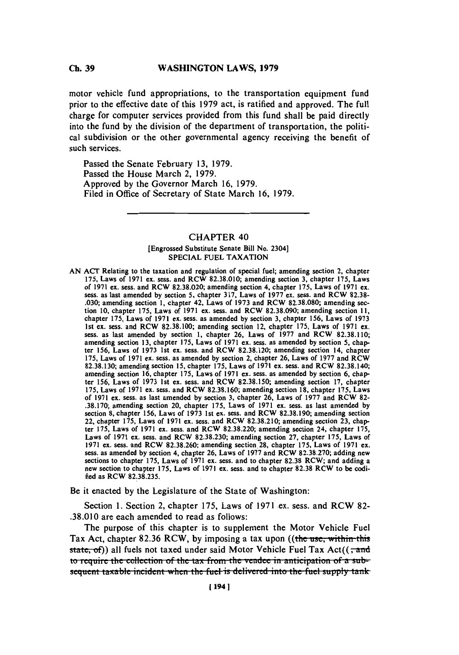#### WASHINGTON LAWS, 1979 **Ch. 39**

motor vehicle fund appropriations, to the transportation equipment fund prior to the effective date of this **1979** act, is ratified and approved. The full charge for computer services provided from this fund shall **be** paid directly into the fund **by** the division of the department of transportation, the political subdivision or the other governmental agency receiving the benefit of such services.

Passed the Senate February **13, 1979.** Passed the House March 2, **1979.** Approved **by** the Governor March **16, 1979.** Filed in Office of Secretary of State March **16, 1979.**

## CHAPTER 40

### [Engrossed Substitute Senate Bill No. 2304] **SPECIAL FUEL TAXATION**

**AN ACT** Relating to the taxation and regulation of special fuel; amending section 2, chapter **175,** Laws of **1971** ex. sess. and RCW **82.38.010;** amending section **3,** chapter **175,** Laws of 1971 ex. sess. and RCW 82.38.020; amending section 4, chapter 175, Laws of 1971 ex. sess. as last amended by section 5, chapter 317, Laws of 1977 ex. sess. and RCW 82.38-.030; amending section 1, chapter 42, Laws of 1973 and RCW 82.38.080; amending section 10, chapter 175, Laws of 1971 ex. sess. and RCW 82.38.090; amending section 11, chapter **175,** Laws of **1971** ex. sess. as amended **by** section **3,** chapter **156,** Laws of **1973** 1st ex. sess. and RCW **82.38.100;** amending section 12, chapter **175,** Laws of **1971** ex. sess. as last amended **by** section **1,** chapter **26,** Laws of **1977** and RCW **82.38.110;** amending section **13,** chapter **175,** Laws of **1971** ex. sess. as amended **by** section **5,** chapter **156,** Laws of **1973** 1st ex. sess. and RCW **82.38** '.120; amending section 14, chapter **175,** Laws of **1971** ex. sess. as amended **by** section 2, chapter **26,** Laws of **1977** and RCW **82.38.130;** amending section **15,** chapter **175,** Laws of **1971** ex. sess. and RCW **82.38.140;** amending section **16,** chapter **175,** Laws of **1971** ex. sess. as amended **by** section **6,** chapter **156,** Laws of **1973** 1st ex. sess. and RCW **82.38.150;** amending section **17,** chapter **175,** Laws of **1971** ex. sess. and RCW **82.38.160;** amending section **18,** chapter **175,** Laws of **1971** ex. sess. as last amended **by** section **3,** chapter **26,** Laws of **1977** and RCW **82- .38.170;** amending section 20, chapter **175,** Laws of **1971** ex. sess. as last amended **by** section **8,** chapter **156,** Laws of **1973** 1st ex. sess. and RCW **82.38.190;** amending section 22, chapter **175,** Laws of **1971** ex. sess. and RCW **82.38.210;** amending section **23,** chapter **175,** Laws of **1971** ex. sess. and RCW **82.38.220;** amending section 24, chapter **175,** Laws of **1971** ex. sess. and RCW **82.38.230;** amending section **27,** chapter **175,** Laws of sess. as amended by section 4, chapter 26, Laws of 1977 and RCW 82.38.270; adding new sections to chapter 175, Laws of 1971 ex. sess. and to chapter 82.38 RCW; and adding a new section to chapter 175, Laws of 1971 ex. sess fied as RCW 82.38.235.

Be it enacted **by** the Legislature of the State of Washington:

Section **1.** Section 2, chapter **175,** Laws of **1971** ex. sess. and RCW **82- .38.010** are each amended to read as follows:

The purpose of this chapter is to supplement the Motor Vehicle Fuel Tax Act, chapter 82.36 RCW, by imposing a tax upon ((the use, within this state, of)) all fuels not taxed under said Motor Vehicle Fuel Tax Act( $\left(\frac{1}{2}, \frac{1}{2}\right)$ **to require the collection of the tax from the vendee in anticipation of a sub**sequent taxable incident when the fuel is delivered into the fuel supply tank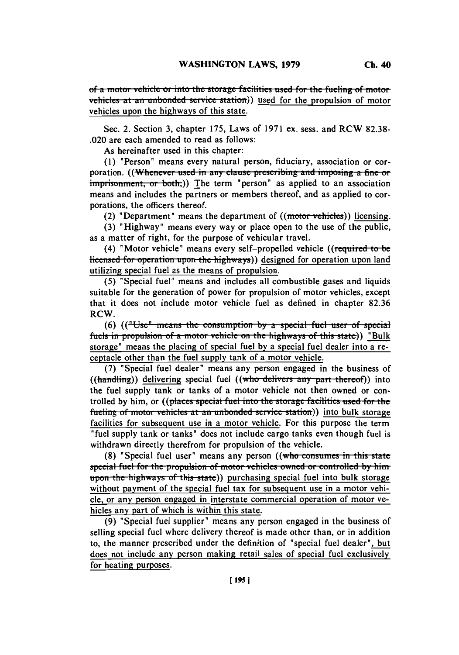of a motor vehicle or into the storage facilities used for the fueling of motor vehicles at an unbonded service station)) used for the propulsion of motor vehicles upon the highways of this state.

Sec. 2. Section **3,** chapter **175,** Laws of **1971** ex. sess. and RCW **82.38-** .020 are each amended to read as follows:

As hereinafter used in this chapter:

**(1)** "Person" means every natural person, fiduciary, association or corporation. ((Whenever used in any clause prescribing and imposing a fine or imprisonment, or both,)) The term "person" as applied to an association means and includes the partners or members thereof, and as applied to corporations, the officers thereof.

(2) "Department" means the department of  $((\text{motor vehicles}))$  licensing.

**(3)** "Highway" means every way or place open to the use of the public, as a matter of right, for the purpose of vehicular travel.

(4) "Motor vehicle" means every self-propelled vehicle (( $\epsilon$ licensed for operation upon the highways)) designed for operation upon land utilizing special fuel as the means of propulsion.

**(5)** "Special fuel" means and includes all combustible gases and liquids suitable for the generation of power for propulsion of motor vehicles, except that it does not include motor vehicle fuel as defined in chapter **82.36** RCW.

**(6)** (("Use" means the consumption by a special fuel user of special fuels in propulsion of a motor vehicle on the highways of this state)) "Bulk storage" means the placing of special fuel **by** a special fuel dealer into a receptacle other than the fuel supply tank of a motor vehicle.

**(7)** "Special fuel dealer" means any person engaged in the business of ((handling)) delivering special fuel ((who delivers any part thereof)) into the fuel supply tank or tanks of a motor vehicle not then owned or controlled by him, or ((places special fuel into the storage facilities used for the fueling of motor vehicles at an unbonded service station)) into bulk storage facilities for subsequent use in a motor vehicle. For this purpose the term "fuel supply tank or tanks" does not include cargo tanks even though fuel is withdrawn directly therefrom for propulsion of the vehicle.

(8) "Special fuel user" means any person ((who consumes in this state) special fuel for the propulsion of motor vehicles owned or controlled by him<br>upon the highways of this state)) purchasing special fuel into bulk storage without payment of the special fuel tax for subsequent use in a motor vehicle, or any person engaged in interstate commercial operation of motor vehicles any part of which is within this state.

**(9)** "Special fuel supplier" means any person engaged in the business of selling special fuel where delivery thereof is made other than, or in addition to, the manner prescribed under the definition of "special fuel dealer", but does not include any person making retail sales of special fuel exclusively for heating purposes.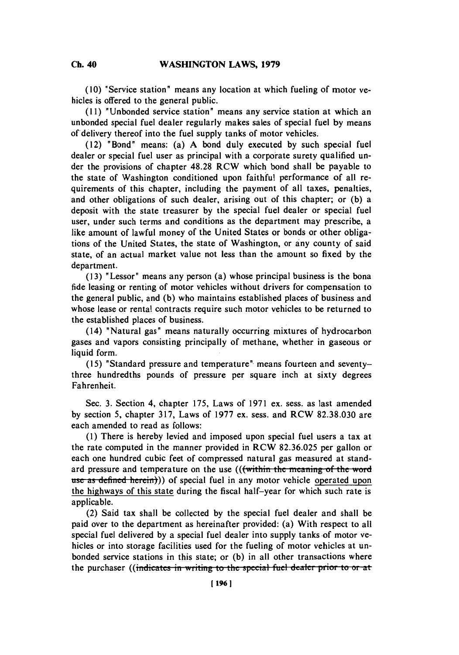**(10)** "Service station" means any location at which fueling of motor vehicles is offered to the general public.

**(11)** 'Unbonded service station' means any service station at which an unbonded special fuel dealer regularly makes sales of special fuel **by** means of delivery thereof into the fuel supply tanks of motor vehicles.

(12) "Bond" means: (a) **A** bond duly executed **by** such special fuel dealer or special fuel user as principal with a corporate surety qualified under the provisions of chapter **48.28** RCW which bond shall **be** payable to the state of Washington conditioned upon faithful performance of all requirements of this chapter, including the payment of all taxes, penalties, and other obligations of such dealer, arising out of this chapter; or **(b)** a deposit with the state treasurer **by** the special fuel dealer or special fuel user, under such terms and conditions as the department may prescribe, a like amount of lawful money of the United States or bonds or other obligations of the United States, the state of Washington, or any county of said state, of an actual market value not less than the amount so fixed **by** the department.

**(13)** 'Lessor' means any person (a) whose principal business is the bona fide leasing or renting of motor vehicles without drivers for compensation to the general public, and **(b)** who maintains established places of business and whose lease or rental contracts require such motor vehicles to be returned to the established places of business.

(14) 'Natural gas' means naturally occurring mixtures of hydrocarbon gases and vapors consisting principally of methane, whether in gaseous or liquid form.

(15) "Standard pressure and temperature" means fourteen and seventythree hundredths pounds of pressure per square inch at sixty degrees Fahrenheit.

Sec. **3.** Section 4, chapter *175,* Laws of **1971** ex. sess. as last amended **by** section **5,** chapter **317,** Laws of **1977** ex. sess. and RCW **82.38.030** are each amended to read as follows:

**(1)** There is hereby levied and imposed upon special fuel users a tax at the rate computed in the manner provided in RCW **82.36.025** per gallon or each one hundred cubic feet of compressed natural gas measured at standard pressure and temperature on the use  $(($  within the meaning of the word use as defined herein)) of special fuel in any motor vehicle operated upon the highways of this state during the fiscal half-year for which such rate is applicable.

(2) Said tax shall be collected **by** the special fuel dealer and shall be paid over to the department as hereinafter provided: (a) With respect to all special fuel delivered **by** a special fuel dealer into supply tanks of motor vehicles or into storage facilities used for the fueling of motor vehicles at unbonded service stations in this state; or **(b)** in all other transactions where the purchaser ((indicates in writing to the special fuel dealer prior to or at

**Ch.** 40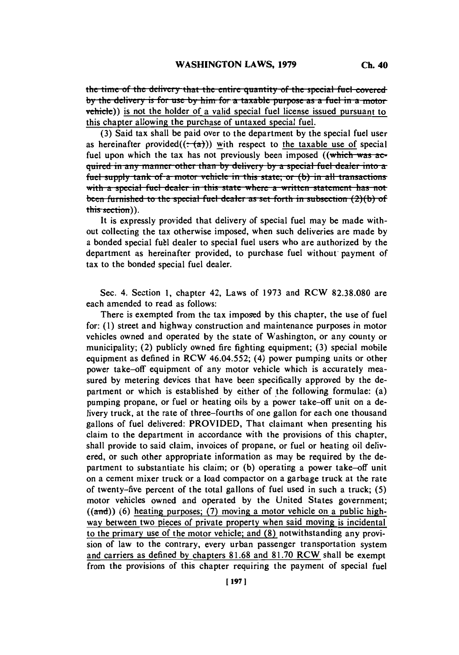*the time of the delivery that the entire quantity of the special fuel covered* **by the delivery is for use by him for a taxable purpose as a fuel in a motor** vehicle)) is not the holder of a valid special fuel license issued pursuant to this chapter allowing the purchase of untaxed special fuel.

**(3)** Said tax shall be paid over to the department **by** the special fuel user as hereinafter provided( $(-a)$ )) with respect to the taxable use of special fuel upon which the tax has not previously been imposed ((which was ac**quired in any manner other than by delivery by a special fuel dealer into a** fuel supply tank of a motor vehicle in this state; or (b) in all transactions **with a special fuel dealer in this state where a written statement has not been furnished to the special fuel dealer as set forth in subsection (2)(b) of** this section)).

It is expressly provided that delivery of special fuel may be made without collecting the tax otherwise imposed, when such deliveries are made **by** a bonded special fubl dealer to special fuel users who are authorized **by** the department as hereinafter provided, to purchase fuel without payment of tax to the bonded special fuel dealer.

Sec. 4. Section **1,** chapter 42, Laws of **1973** and RCW **82.38.080** are each amended to read as follows:

There is exempted from the tax imposed **by** this chapter, the use of fuel for: **(1)** street and highway construction and maintenance purposes in motor vehicles owned and operated **by** the state of Washington, or any county or municipality; (2) publicly owned fire fighting equipment; **(3)** special mobile equipment as defined in RCW 46.04.552; (4) power pumping units or other power take-off equipment of any motor vehicle which is accurately measured **by** metering devices that have been specifically approved **by** the department or which is established **by** either of the following formulae: (a) pumping propane, or fuel or heating oils **by** a power take-off unit on a delivery truck, at the rate of three-fourths of one gallon for each one thousand gallons of fuel delivered: PROVIDED, That claimant when presenting his claim to the department in accordance with the provisions of this chapter, shall provide to said claim, invoices of propane, or fuel or heating oil delivered, or such other appropriate information as may be required **by** the department to substantiate his claim; or **(b)** operating a power take-off unit on a cement mixer truck or a load compactor on a garbage truck at the rate of twenty-five percent of the total gallons of fuel used in such a truck; **(5)** motor vehicles owned and operated **by** the United States government; ((and)) **(6)** heating purposes; **(7)** moving a motor vehicle on a public highway between two pieces of private property when said moving is incidental to the primary use of the motor vehicle; and **(8)** notwithstanding any provision of law to the contrary, every urban passenger transportation system and carriers as defined **by** chapters **81.68** and **81.70** RCW shall be exempt from the provisions of this chapter requiring the payment of special fuel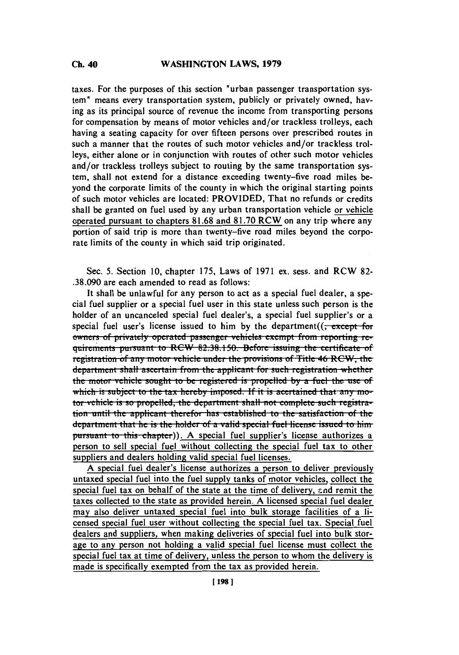# **Ch. 40 WASHINGTON LAWS, 1979**

taxes. For the purposes of this section "urban passenger transportation system" means every transportation system, publicly or privately owned, having as its principal source of revenue the income from transporting persons for compensation **by** means of motor vehicles and/or trackless trolleys, each having a seating capacity for over fifteen persons over prescribed routes in such a manner that the routes of such motor vehicles and/or trackless trolleys, either alone or in conjunction with routes of other such motor vehicles and/or trackless trolleys subject to routing **by** the same transportation system, shall not extend for a distance exceeding twenty-five road miles beyond the corporate limits of the county in which the original starting points of such motor vehicles are located: PROVIDED, That no refunds or credits shall be granted on fuel used **by** any urban transportation vehicle or vehicle operated pursuant to chapters **81.68** and **81.70** RCW on any trip where any portion of said trip is more than twenty-five road miles beyond the corporate limits of the county in which said trip originated.

Sec. **5.** Section **10,** chapter **175,** Laws of **1971** ex. sess. and RCW **82- .38.090** are each amended to read as follows:

It shall be unlawful for any person to act as a special fuel dealer, a special fuel supplier or a special fuel user in this state unless such person is the holder of an uncanceled special fuel dealer's, a special fuel supplier's or a special fuel user's license issued to him by the department((<del>, except for</del> owners of privately operated passenger vehicles exempt from reporting requirements pursuant to RCW 82.38.150. Before issuing the certificate of registration of any motor vehicle under the provisions of Title 46 RCW, the **department shall ascertain from the applicant for such registration whether** the motor vehicle sought to be registered is propelled by a fuel the use of which is subject to the tax hereby imposed. If it is acertained that any motor vehicle is so propelled, the department shall not complete such registra-**Lion** until the applicant therefor has established to the satisfaction of the department that he is the holder of a valid special fuel license issued to him **pursuant to this chapter)). A special fuel supplier's license authorizes a** person to sell special fuel without collecting the special fuel tax to other suppliers and dealers holding valid special fuel licenses.

**A** special fuel dealer's license authorizes a person to deliver previously untaxed special fuel into the fuel supply tanks of motor vehicles, collect the special fuel tax on behalf of the state at the time of delivery, and remit the taxes collected to the state as provided herein. **A** licensed special fuel dealer may also deliver untaxed special fuel into bulk storage facilities of a licensed special fuel user without collecting the special fuel tax. Special fuel dealers and suppliers, when making deliveries of special fuel into bulk storage to any person not holding a valid special fuel license must collect the special fuel tax at time of delivery, unless the person to whom the delivery is made is specifically exempted from the tax as provided herein.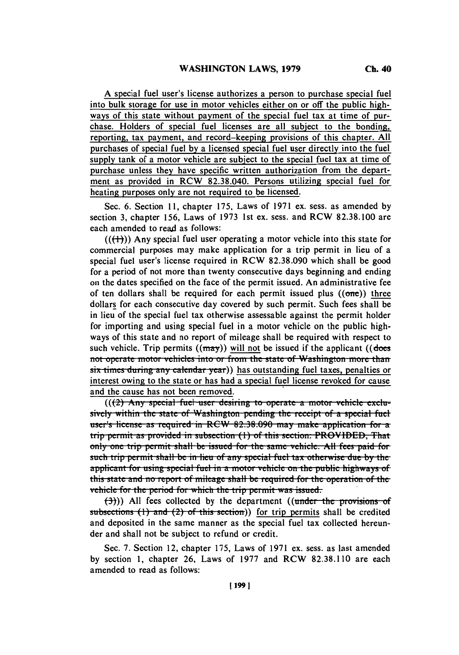**A** special fuel user's license authorizes a person to purchase special fuel into bulk storage for use in motor vehicles either on or off the public highways of this state without payment of the special fuel tax at time of purchase. Holders of special fuel licenses are all subject to the bonding, reporting, tax payment, and record-keeping provisions of this chapter. **All** purchases of special fuel **by** a licensed special fuel user directly into the fuel supply tank of a motor vehicle are subject to the special fuel tax at time of purchase unless they have specific written authorization from the department as provided in RCW **82.38.040.** Persons utilizing special fuel for heating purposes only are not required to be licensed.

Sec. **6.** Section **11,** chapter **175,** Laws of **1971** ex. sess. as amended **by** section **3,** chapter *156,* Laws of **1973** 1st ex. sess. and RCW **82.38.100** are each amended to read as follows:

 $((\{+)})$ ) Any special fuel user operating a motor vehicle into this state for commercial purposes may make application for a trip permit in lieu of a special fuel user's license required in RCW **82.38.090** which shall be good for a period of not more than twenty consecutive days beginning and ending on the dates specified on the face of the permit issued. An administrative fee of ten dollars shall be required for each permit issued plus  $((\text{one}))$  three dollars for each consecutive day covered **by** such permit. Such fees shall be in lieu of the special fuel tax otherwise assessable against the permit holder for importing and using special fuel in a motor vehicle on the public highways of this state and no report of mileage shall be required with respect to such vehicle. Trip permits  $((\text{max}))$  will not be issued if the applicant  $((\text{does})$ not operate motor vehicles into or from the state of Washington more than six times during any calendar year)) has outstanding fuel taxes, penalties or interest owing to the state or has had a special fuel license revoked for cause and the cause has not been removed.

 $((2)$  Any special fuel user desiring to operate a motor vehicle exclusively within the state of Washington pending the receipt of a special fuel **user's license as required in RCW 82.38.090 may make application for a** trip permit as provided in subsection (1) of this section: PROVIDED, That only one trip permit shall be issued for the same vehicle. All fees paid for such trip permit shall be in lieu of any special fuel tax otherwise due by the applicant for using special fuel in a motor vehicle on the public highways of this state and no report of mileage shall be required for the operation of the vehicle for the period for which the trip permit was issued.

 $(\frac{3}{2})$ ) All fees collected by the department ((under the provisions of subsections (1) and (2) of this section)) for trip permits shall be credited and deposited in the same manner as the special fuel tax collected hereunder and shall not be subject to refund or credit.

Sec. **7.** Section 12, chapter **175,** Laws of **1971** ex. sess. as last amended **by** section **1,** chapter **26,** Laws of **1977** and RCW **82.38.110** are each amended to read as follows: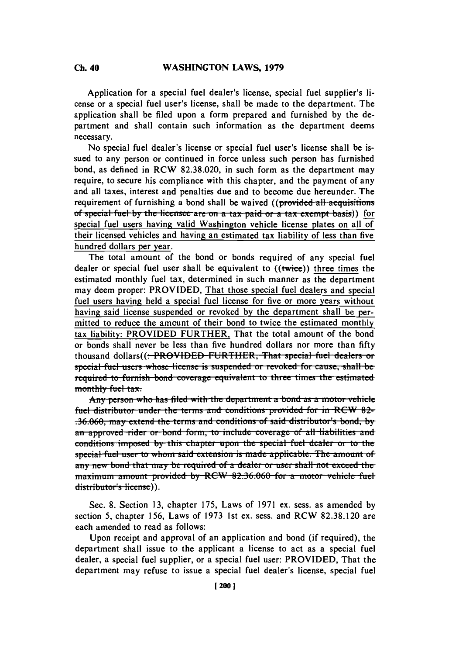Application for a special fuel dealer's license, special fuel supplier's license or a special fuel user's license, shall be made to the department. The application shall be filed upon a form prepared and furnished **by** the department and shall contain such information as the department deems necessary.

No special fuel dealer's license or special fuel user's license shall be issued to any person or continued in force unless such person has furnished bond, as defined in RCW **82.38.020,** in such form as the department may require, to secure his compliance with this chapter, and the payment of any and all taxes, interest and penalties due and to become due hereunder. The requirement of furnishing a bond shall be waived ((provided all acquisitions of special fuel by the licensee are on a tax paid or a tax exempt basis)) for special fuel users having valid Washington vehicle license plates on all of their licensed vehicles and having an estimated tax liability of less than five hundred dollars per year.

The total amount of the bond or bonds required of any special fuel dealer or special fuel user shall be equivalent to ((twice)) three times the estimated monthly fuel tax, determined in such manner as the department may deem proper: PROVIDED, That those special fuel dealers and special fuel users having held a special fuel license for five or more years without having said license suspended or revoked **by** the department shall **be** permitted to reduce the amount of their bond to twice the estimated monthly tax liability: PROVIDED FURTHER, That the total amount of the bond or bonds shall never be less than five hundred dollars nor more than **fifty** thousand dollars((<del>: PROVIDED FURTHER, That special fuel dealers or</del> special fuel users whose license is suspended or revoked for cause, shall be  $r$ equired to furnish bond coverage equivalent to three times the estimated monthly fuel  $tax.$ 

Any person who has filed with the department a bond as a motor vehicle fuel distributor under the terms and conditions provided for in RCW 82-**.36.060, may extend the terms and conditions of said distributor's bond, by** an approved rider or bond form, to include coverage of all liabilities and conditions imposed by this chapter upon the special fuel dealer or to the **special fuel user to whom said extension is made applicable. The amount of** any new bond that may be required of a dealer or user shall not exceed the **inaximum** amount provided by RCW 82.36.060 for a motor vehicle fuel distributor's license)).

Sec. **8.** Section **13,** chapter **175,** Laws of **1971** ex. sess. as amended **by** section **5,** chapter **156,** Laws of **1973** 1st ex. sess. and RCW **82.38.120** are each amended to read as follows:

Upon receipt and approval of an application and bond (if required), the department shall issue to the applicant a license to act as a special fuel dealer, a special fuel supplier, or a special fuel user: PROVIDED, That the department may refuse to issue a special fuel dealer's license, special fuel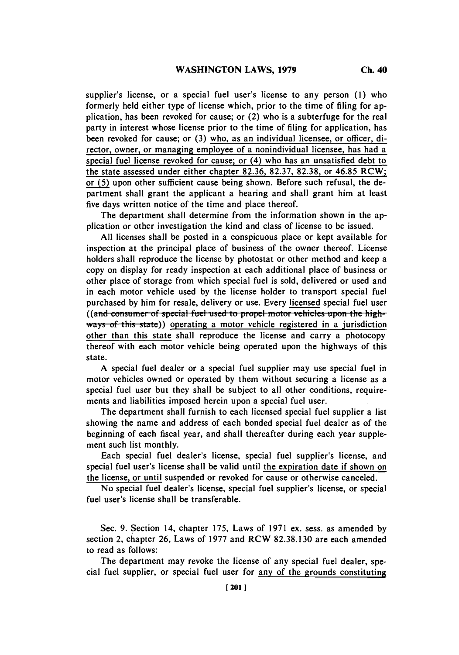supplier's license, or a special fuel user's license to any person **(1)** who formerly held either type of license which, prior to the time of filing for application, has been revoked for cause; or (2) who is a subterfuge for the real party in interest whose license prior to the time of filing for application, has been revoked for cause; or **(3)** who, as an individual licensee, or officer, director, owner, or managing employee of a nonindividual licensee, has had a special fuel license revoked for cause; or (4) who has an unsatisfied debt to the state assessed under either chapter **82.36, 82.37, 82.38,** or **46.85 RCW;** or **(5)** upon other sufficient cause being shown. Before such refusal, the department shall grant the applicant a hearing and shall grant him at least five days written notice of the time and place thereof.

The department shall determine from the information shown in the application or other investigation the kind and class of license to be issued.

**All** licenses shall be posted in a conspicuous place or kept available for inspection at the principal place of business of the owner thereof. License holders shall reproduce the license **by** photostat or other method and keep a copy on display for ready inspection at each additional place of business or other place of storage from which special fuel is sold, delivered or used and in each motor vehicle used **by** the license holder to transport special fuel purchased **by** him for resale, delivery or use. Every licensed special fuel user ((and consumer of special fuel used to propel motor vehicles upon the high-ways of this state)) operating a motor vehicle registered in a jurisdiction other than this state shall reproduce the license and carry a photocopy thereof with each motor vehicle being operated upon the highways of this state.

**A** special fuel dealer or a special fuel supplier may use special fuel in motor vehicles owned or operated **by** them without securing a license as a special fuel user but they shall be subject to all other conditions, requirements and liabilities imposed herein upon a special fuel user.

The department shall furnish to each licensed special fuel supplier a list showing the name and address of each bonded special fuel dealer as of the beginning of each fiscal year, and shall thereafter during each year supplement such list monthly.

Each special fuel dealer's license, special fuel supplier's license, and special fuel user's license shall be valid until the expiration date if shown on the license, or until suspended or revoked for cause or otherwise canceled.

No special fuel dealer's license, special fuel supplier's license, or special fuel user's license shall be transferable.

Sec. **9.** Section 14, chapter **175,** Laws of **1971** ex. sess. as amended **by** section 2, chapter **26,** Laws of **1977** and RCW **82.38.130** are each amended to read as follows:

The department may revoke the license of any special fuel dealer, special fuel supplier, or special fuel user for any of the grounds constituting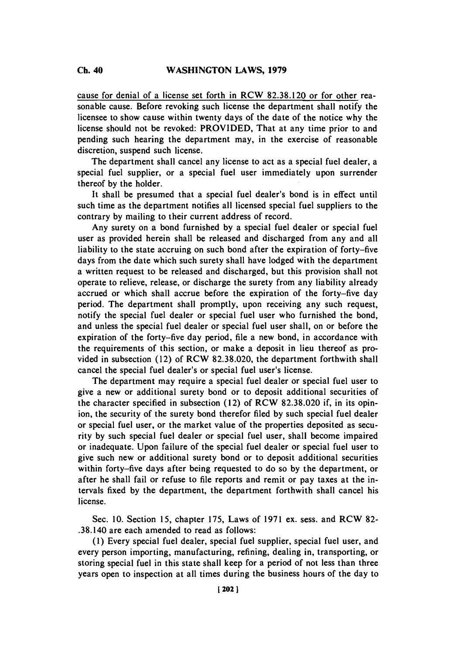cause for denial of a license set forth in RCW **82.38.120** or for other reasonable cause. Before revoking such license the department shall notify the licensee to show cause within twenty days of the date of the notice why the license should not be revoked: PROVIDED, That at any time prior to and pending such hearing the department may, in the exercise of reasonable discretion, suspend such license.

The department shall cancel any license to act as a special fuel dealer, a special fuel supplier, or a special fuel user immediately upon surrender thereof **by** the holder.

It shall be presumed that a special fuel dealer's bond is in effect until such time as the department notifies all licensed special fuel suppliers to the contrary **by** mailing to their current address of record.

Any surety on a bond furnished **by** a special fuel dealer or special fuel user as provided herein shall be released and discharged from any and all liability to the state accruing on such bond after the expiration of forty-five days from the date which such surety shall have lodged with the department a written request to be released and discharged, but this provision shall not operate to relieve, release, or discharge the surety from any liability already accrued or which shall accrue before the expiration of the forty-five day period. The department shall promptly, upon receiving any such request, notify the special fuel dealer or special fuel user who furnished the bond, and unless the special fuel dealer or special fuel user shall, on or before the expiration of the forty-five day period, file a new bond, in accordance with the requirements of this section, or make a deposit in lieu thereof as provided in subsection (12) of RCW **82.38.020,** the department forthwith shall cancel the special fuel dealer's or special fuel user's license.

The department may require a special fuel dealer or special fuel user to give a new or additional surety bond or to deposit additional securities of the character specified in subsection (12) of RCW **82.38.020** if, in its opinion, the security of the surety bond therefor **filed by** such special fuel dealer or special fuel user, or the market value of the properties deposited as security **by** such special fuel dealer or special fuel user, shall become impaired or inadequate. Upon failure of the special fuel dealer or special fuel user to give such new or additional surety bond or to deposit additional securities within forty-five days after being requested to do so **by** the department, or after he shall fail or refuse to file reports and remit or pay taxes at the intervals fixed **by** the department, the department forthwith shall cancel his license.

Sec. **10.** Section **15,** chapter **175,** Laws of **1971** ex. sess. and RCW **82-** .38.140 are each amended to read as follows:

**(1)** Every special fuel dealer, special fuel supplier, special fuel user, and every person importing, manufacturing, refining, dealing in, transporting, or storing special fuel in this state shall keep for a period of not less than three years open to inspection at all times during the business hours of the day to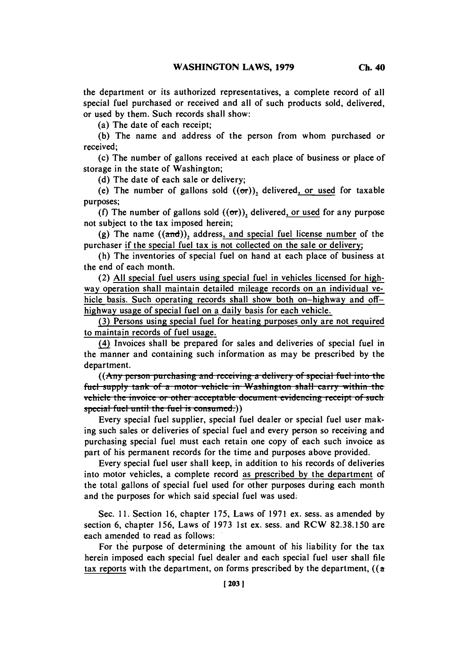the department or its authorized representatives, a complete record of all special fuel purchased or received and all of such products sold, delivered, or used **by** them. Such records shall show:

(a) The date of each receipt;

**(b)** The name and address of the person from whom purchased or received;

(c) The number of gallons received at each place of business or place of storage in the state of Washington;

**(d)** The date of each sale or delivery;

(e) The number of gallons sold  $((\sigma r))_2$  delivered, or used for taxable purposes;

(f) The number of gallons sold  $((\sigma r))$ , delivered, or used for any purpose not subject to the tax imposed herein;

**(g)** The name ((and)), address, and special fuel license number of the purchaser if the special fuel tax is not collected on the sale or delivery

(h) The inventories of special fuel on hand at each place of business at the end of each month.

(2) **All** special fuel users using special fuel in vehicles licensed for highway operation shall maintain detailed mileage records on an individual vehicle basis. Such operating records shall show both on-highway and offhighway usage of special fuel on a daily basis for each vehicle.

**(3)** Persons using special fuel for heating purposes only are not required to maintain records of fuel usage.

(4) Invoices shall be prepared for sales and deliveries of special fuel in the manner and containing such information as may be prescribed **by** the department.

**((Any person purchasing and receiving a delivery of special fuel into the** fuel supply tank of a motor vehicle in Washington shall carry within the vehicle the invoice or other acceptable document evidencing receipt of such special fuel until the fuel is consumed.))

Every special fuel supplier, special fuel dealer or special fuel user making such sales or deliveries of special fuel and every person so receiving and purchasing special fuel must each retain one copy of each such invoice as part of his permanent records for the time and purposes above provided.

Every special fuel user shall keep, in addition to his records of deliveries into motor vehicles, a complete record as prescribed **by** the department of the total gallons of special fuel used for other purposes during each month and the purposes for which said special fuel was used.

Sec. **11.** Section **16,** chapter *175,* Laws of **1971** ex. sess. as amended **by** section **6,** chapter **156,** Laws of **1973** 1st ex. sess. and RCW **82.38.150** are each amended to read as follows:

For the purpose of determining the amount of his liability for the tax herein imposed each special fuel dealer and each special fuel user shall file tax reports with the department, on forms prescribed **by** the department, ((a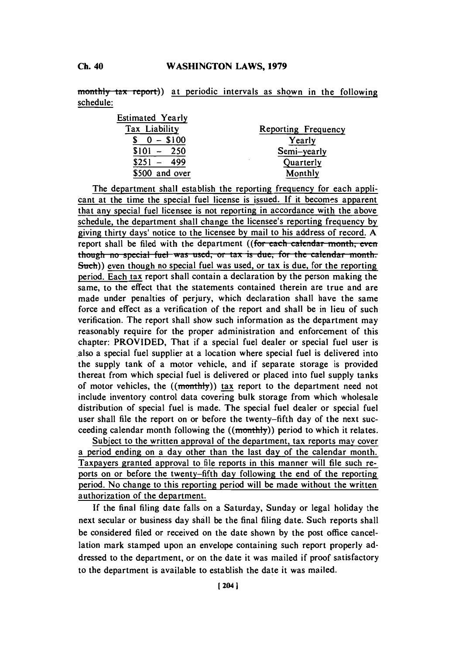monthly tax report)) at periodic intervals as shown in the following schedule:

| <b>Estimated Yearly</b> |                     |
|-------------------------|---------------------|
| Tax Liability           | Reporting Frequency |
| $0 - $100$              | Yearly              |
| $$101 -$<br>- 250       | Semi-yearly         |
| 499<br>\$251            | Quarterly           |
| \$500 and over          | Monthly             |

The department shall establish the reporting frequency for each applicant at the time the special fuel license is issued. If it becomes apparent that any special fuel licensee is not reporting in accordance with the above schedule, the department shall change the licensee's reporting frequency **by** giving thirty days' notice to the licensee **by** mail to his address of record. **A** report shall be filed with the department ((for each calendar month, even though no special fuel was used, or tax is due, for the calendar month.  $Such()$  even though no special fuel was used, or tax is due, for the reporting period. Each tax report shall contain a declaration **by** the person making the same, to the effect that the statements contained therein are true and are made under penalties of perjury, which declaration shall have the same force and effect as a verification of the report and shall be in lieu of such verification. The report shall show such information as the department may reasonably require for the proper administration and enforcement of this chapter: PROVIDED, That if a special fuel dealer or special fuel user is also a special fuel supplier at a location where special fuel is delivered into the supply tank of a motor vehicle, and if separate storage is provided thereat from which special fuel is delivered or placed into fuel supply tanks of motor vehicles, the  $((\text{monthly}))$  tax report to the department need not include inventory control data covering bulk storage from which wholesale distribution of special fuel is made. The special fuel dealer or special fuel user shall file the report on or before the twenty-fifth day of the next succeeding calendar month following the  $((\text{monthly}))$  period to which it relates.

Subject to the written approval of the department, tax reports may cover a period ending on a day other than the last day of the calendar month. Taxpayers granted approval to file reports in this manner will file such reports on or before the twenty-fifth day following the end of the reporting period. No change to this reporting period will be made without the written authorization of the department.

**If** the final filing date falls on a Saturday, Sunday or legal holiday the next secular or business day shall be the final filing date. Such reports shall be considered filed or received on the date shown **by** the post office cancellation mark stamped upon an envelope containing such report properly addressed to the department, or on the date it was mailed if proof satisfactory to the department is available to establish the date it was mailed.

**Ch.** 40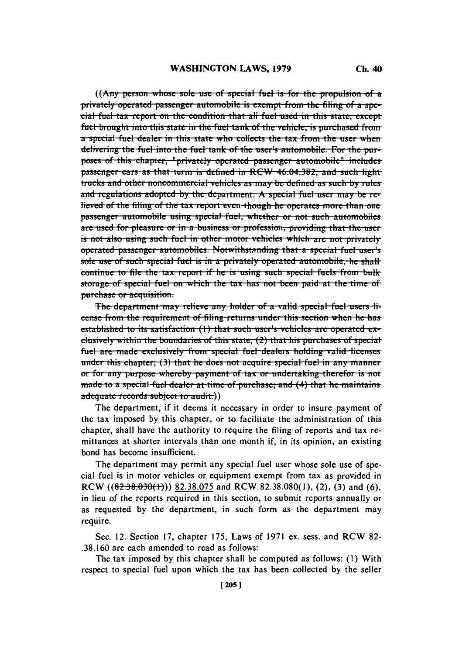$((\text{Any person whose sole use of special fuel is for the proposition of a).$ **privately operated passenger automobile is exempt from the filing of a spe** $cial$  fuel tax report on the condition that all fuel used in this state, except fuel brought into this state in the fuel tank of the vehicle, is purchased from<br>a special fuel dealer in this state who collects the tax from the user when delivering the fuel into the fuel tank of the user's automobile. For the purposes of this chapter, "privately operated passenger automobile" includes passenger cars as that term is defined in RCW 46.04.382, and such light trucks and other noncommercial vehicles as may be defined as such by rules and regulations adopted by the department. A special fuel user may be relieved of the filing of the tax report even though he operates more than one passenger automobile using special fuel, whether or not such automobiles are used for pleasure or in a business or profession, providing that the user is not also using such fuel in other motor vehicles which are not privately **operated** passenger automobiles. Notwithstanding that a special fuel user's sole use of such special fuel is in a privately operated automobile, he shall continue to file the tax report if he is using such special fuels from bulk storage of special fuel on which the tax has not been paid at the time of purchase or acquisition.

The department may relieve any holder of a valid special fuel users license from the requirement of filing returns under this section when he has established to its satisfaction (1) that such user's vehicles are operated  $ex$ clusively within the boundaries of this state;  $(2)$  that his purchases of special fuel are made exclusively from special fuel dealers holding valid licenses ide.  $\frac{1}{2}$  and the shape in application of acquire the contract the time and *any manner* or for any purpose whereby payment of tax or undertaking therefor is not made to a special fuel dealer at time of purchase; and (4) that he maintains adequate records subject to audit.))

The department, if it deems it necessary in order to insure payment of the tax imposed **by** this chapter, or to facilitate the administration of this chapter, shall have the authority to require the filing of reports and tax remittances at shorter intervals than one month if, in its opinion, an existing bond has become insufficient.

The department may permit any special fuel user whose sole use of special fuel is in motor vehicles or equipment exempt from tax as provided in RCW **((82.38.63E)(1))) 82.38.075** and RCW **82.38.080(l),** (2), **(3)** and **(6),** in lieu of the reports required in this section, to submit reports annually or as requested **by** the department, in such form as the department may require.

Sec. 12. Section **17,** chapter **175,** Laws of **1971** ex. sess. and RCW **82- .38.160** are each amended to read as follows:

The tax imposed **by** this chapter shall be computed as follows: **(1)** With respect to special fuel upon which the tax has been collected **by** the seller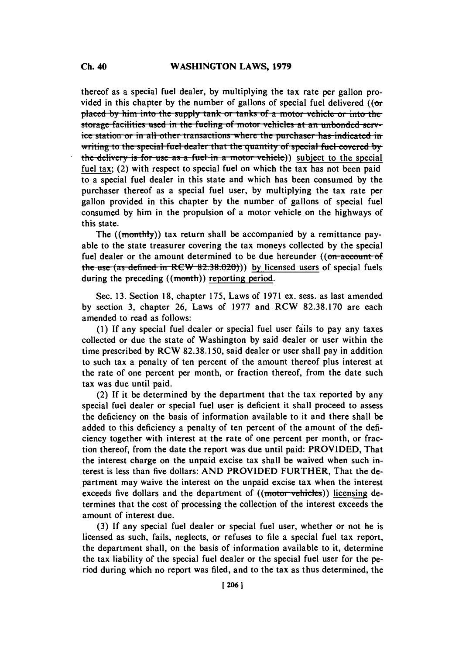thereof as a special fuel dealer, **by** multiplying the tax rate per gallon provided in this chapter **by** the number of gallons of special fuel delivered ((or **placed by him into the supply tank or tanks of a motor vehicle or into the storage facilities used in the fueling of motor vehicles at an unbonded service station or in all other transactions where the purchaser has indicated in** *b* writing to the special fuel dealer that the quantity of special fuel covered by the delivery is for use as a fuel in a motor vehicle)) subject to the special fuel tax; (2) with respect to special fuel on which the tax has not been paid to a special fuel dealer in this state and which has been consumed **by** the purchaser thereof as a special fuel user, **by** multiplying the tax rate per gallon provided in this chapter **by** the number of gallons of special fuel consumed **by** him in the propulsion of a motor vehicle on the highways of this state.

The ((monthly)) tax return shall be accompanied by a remittance payable to the state treasurer covering the tax moneys collected **by** the special fuel dealer or the amount determined to be due hereunder  $((\text{on-account-of})$ the use (as defined in  $RCW$   $82.38.020)$ )) by licensed users of special fuels during the preceding ((month)) reporting period.

Sec. **13.** Section **18,** chapter **175,** Laws of **1971** ex. sess. as last amended **by** section **3,** chapter **26,** Laws of **1977** and RCW **82.38.170** are each amended to read as follows:

**(1) If** any special fuel dealer or special fuel user fails to pay any taxes collected or due the state of Washington **by** said dealer or user within the time prescribed **by** RCW **82.38.150,** said dealer or user shall pay in addition to such tax a penalty of ten percent of the amount thereof plus interest at the rate of one percent per month, or fraction thereof, from the date such tax was due until paid.

(2) **If** it be determined **by** the department that the tax reported **by** any special fuel dealer or special fuel user is deficient it shall proceed to assess the deficiency on the basis of information available to it and there shall be added to this deficiency a penalty of ten percent of the amount of the deficiency together with interest at the rate of one percent per month, or fraction thereof, from the date the report was due until paid: PROVIDED, That the interest charge on the unpaid excise tax shall be waived when such interest is less than five dollars: **AND** PROVIDED FURTHER, That the department may waive the interest on the unpaid excise tax when the interest exceeds five dollars and the department of ((motor vehicles)) licensing determines that the cost of processing the collection of the interest exceeds the amount of interest due.

**(3) If** any special fuel dealer or special fuel user, whether or not he is licensed as such, fails, neglects, or refuses to file a special fuel tax report, the department shall, on the basis of information available to it, determine the tax liability of the special fuel dealer or the special fuel user for the period during which no report was filed, and to the tax as thus determined, the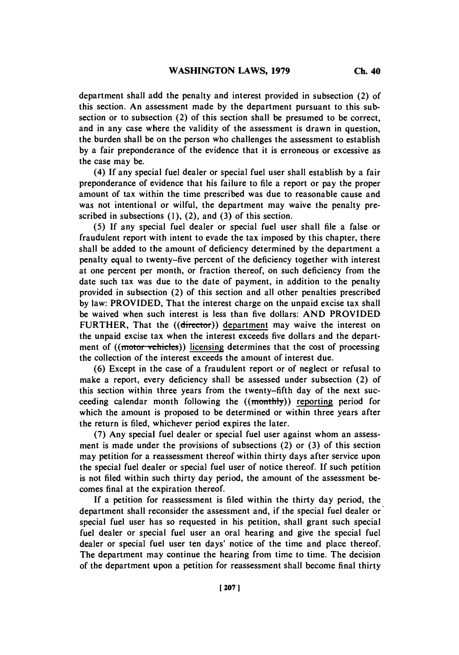department shall add the penalty and interest provided in subsection (2) **of** this section. An assessment made **by** the department pursuant to this subsection or to subsection (2) of this section shall be presumed to be correct, and in any case where the validity of the assessment is drawn in question, the burden shall be on the person who challenges the assessment to establish **by** a fair preponderance of the evidence that it is erroneous or excessive as the case may be.

(4) **If** any special fuel dealer or special fuel user shall establish **by** a fair preponderance of evidence that his failure to file a report or pay the proper amount of tax within the time prescribed was due to reasonable cause and was not intentional or wilful, the department may waive the penalty prescribed in subsections **(1),** (2), and **(3)** of this section.

**(5) If** any special fuel dealer or special fuel user shall file a false or fraudulent report with intent to evade the tax imposed **by** this chapter, there shall be added to the amount of deficiency determined **by** the department a penalty equal to twenty-five percent of the deficiency together with interest at one percent per month, or fraction thereof, on such deficiency from the date such tax was due to the date of payment, in addition to the penalty provided in subsection (2) of this section and all other penalties prescribed **by** law: PROVIDED, That the interest charge on the unpaid excise tax shall be waived when such interest is less than five dollars: **AND** PROVIDED FURTHER, That the ((director)) department may waive the interest on the unpaid excise tax when the interest exceeds five dollars and the department of  $((\text{motor vehicles})$  licensing determines that the cost of processing the collection of the interest exceeds the amount of interest due.

**(6)** Except in the case of a fraudulent report or of neglect or refusal to make a report, every deficiency shall be assessed under subsection (2) of this section within three years from the twenty-fifth day of the next succeeding calendar month following the ((monthly)) reporting period for which the amount is proposed to be determined or within three years after the return is filed, whichever period expires the later.

**(7)** Any special fuel dealer or special fuel user against whom an assessment is made under the provisions of subsections (2) or **(3)** of this section may petition for a reassessment thereof within thirty days after service upon the special fuel dealer or special fuel user of notice thereof. **If** such petition is not filed within such thirty day period, the amount of the assessment becomes final at the expiration thereof.

**If** a petition for reassessment is filed within the thirty day period, the department shall reconsider the assessment and, if the special fuel dealer or special fuel user has so requested in his petition, shall grant such special fuel dealer or special fuel user an oral hearing and give the special fuel dealer or special fuel user ten days' notice of the time and place thereof. The department may continue the hearing from time to time. The decision of the department upon a petition for reassessment shall become final thirty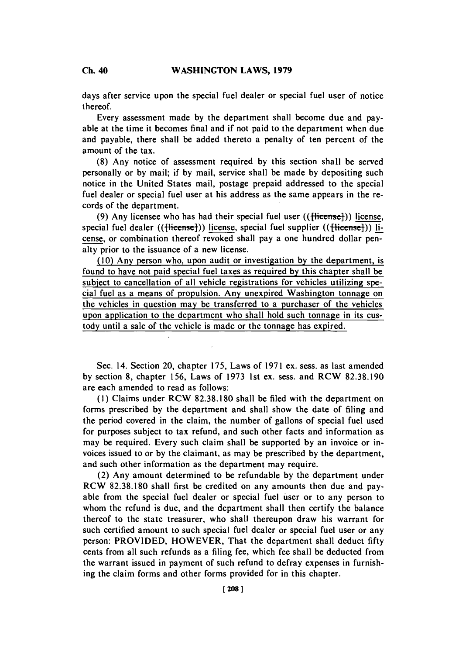**Ch.** 40

days after service upon the special fuel dealer or special fuel user of notice thereof.

Every assessment made **by** the department shall become due and payable at the time it becomes final and if not paid to the department when due and payable, there shall be added thereto a penalty of ten percent of the amount of the tax.

**(8)** Any notice of assessment required **by** this section shall be served personally or **by** mail; if **by** mail, service shall be made **by** depositing such notice in the United States mail, postage prepaid addressed to the special fuel dealer or special fuel user at his address as the same appears in the records of the department.

(9) Any licensee who has had their special fuel user ((flicense)) license, special fuel dealer (( $\{\text{f)) license, special fuel supplier (( $\{\text{f)) li$$ cense, or combination thereof revoked shall pay a one hundred dollar penalty prior to the issuance of a new license.

**(10)** Any person who, upon audit or investigation **by** the department, is found to have not paid special fuel taxes as required **by** this chapter shall be subject to cancellation of all vehicle registrations for vehicles utilizing special fuel as a means of propulsion. Any unexpired Washington tonnage on the vehicles in question may be transferred to a purchaser of the vehicles upon application to the department who shall hold such tonnage in its custody until a sale of the vehicle is made or the tonnage has expired.

Sec. 14. Section 20, chapter **175,** Laws of **1971** ex. sess. as last amended **by** section **8,** chapter **156,** Laws of **1973** 1st ex. sess. and RCW **82.38.190** are each amended to read as follows:

**(1)** Claims under RCW **82.38.180** shall be filed with the department on forms prescribed **by** the department and shall show the date of filing and the period covered in the claim, the number of gallons of special fuel used for purposes subject to tax refund, and such other facts and information as may be required. Every such claim shall be supported **by** an invoice or invoices issued to or **by** the claimant, as may be prescribed **by** the department, and such other information as the department may require.

(2) Any amount determined to be refundable **by** the department under RCW **82.38.180** shall first be credited on any amounts then due and payable from the special fuel dealer or special fuel user or to any person to whom the refund is due, and the department shall then certify the balance thereof to the state treasurer, who shall thereupon draw his warrant for such certified amount to such special fuel dealer or special fuel user or any person: PROVIDED, HOWEVER, That the department shall deduct **fifty** cents from all such refunds as a filing fee, which fee shall be deducted from the warrant issued in payment of such refund to defray expenses in furnishing the claim forms and other forms provided for in this chapter.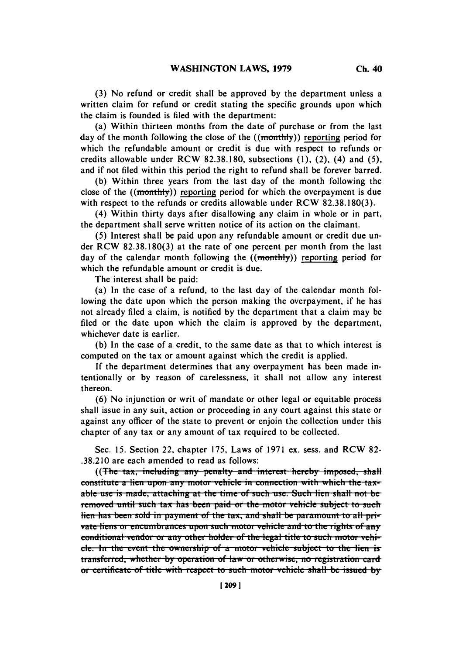**(3)** No refund or credit shall be approved **by** the department unless a written claim for refund or credit stating the specific grounds upon which the claim is founded is filed with the department:

(a) Within thirteen months from the date of purchase or from the last day of the month following the close of the  $((\text{monthly}))$  reporting period for which the refundable amount or credit is due with respect to refunds or credits allowable under RCW **82.38.180,** subsections **(1),** (2), (4) and **(5),** and if not filed within this period the right to refund shall be forever barred.

**(b)** Within three years from the last day of the month following the close of the  $((\text{month}y))$  reporting period for which the overpayment is due with respect to the refunds or credits allowable under RCW **82.38.180(3).**

(4) Within thirty days after disallowing any claim in whole or in part, the department shall serve written notice of its action on the claimant.

**(5)** Interest shall be paid upon any refundable amount or credit due under RCW **82.38.180(3)** at the rate of one percent per month from the last day of the calendar month following the  $((\text{month})')$  reporting period for which the refundable amount or credit is due.

The interest shall be paid:

(a) In the case of a refund, to the last day of the calendar month following the date upon which the person making the overpayment, if he has not already filed a claim, is notified **by** the department that a claim may be filed or the date upon which the claim is approved **by** the department, whichever date is earlier.

**(b)** In the case of a credit, to the same date as that to which interest is computed on the tax or amount against which the credit is applied.

**If** the department determines that any overpayment has been made intentionally or **by** reason of carelessness, it shall not allow any interest thereon.

**(6)** No injunction or writ of mandate or other legal or equitable process shall issue in any suit, action or proceeding in any court against this state or against any officer of the state to prevent or enjoin the collection under this chapter of any tax or any amount of tax required to be collected.

Sec. **15.** Section 22, chapter **175,** Laws of **1971** ex. sess. and RCW **82- .38.210** are each amended to read as follows:

((The tax, including any penalty and interest hereby imposed, shall constitute a lien upon any motor vehicle in connection with which the tax. able use is made, attaching at the time of such use. Such lien shall not be removed until such tax has been paid or the motor vehicle subject to such lien has been sold in payment of the tax, and shall be paramount to all pri**vate liens or encumbrances upon such motor vehicle and to the rights of any** conditional vendor or any other holder of the legal title to such motor vehiele. In the event the ownership of a motor vehicle subject to the lien is **Lituara** *i***nterpresses the** *interpretation* **of law or otherwise, no registration card**or certificate of title with respect to such motor vehicle shall be issued by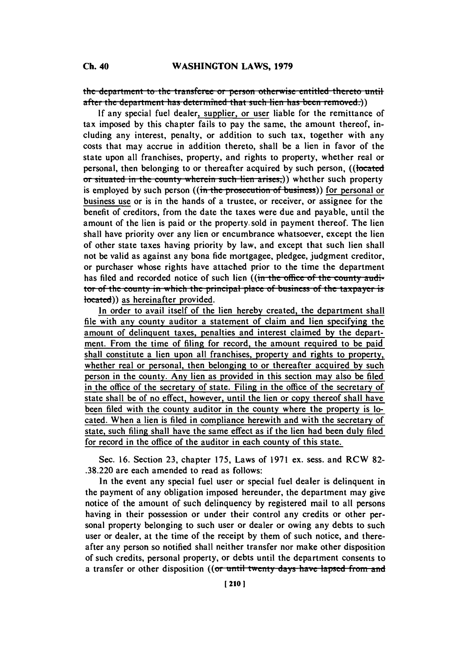the department to the transferse or person otherwise entitled thereto until after the department has determined that such lien has been removed.)

If any special fuel dealer, supplier, or user liable for the remittance of tax imposed **by** this chapter fails to pay the same, the amount thereof, including any interest, penalty, or addition to such tax, together with any costs that may accrue in addition thereto, shall be a lien in favor of the state upon all franchises, property, and rights to property, whether real or personal, then belonging to or thereafter acquired by such person, ((located <del>**1** situated in the county wherein such lien arises,</del>)) whether such property is employed by such person ((in the prosecution of business)) for personal or business use or is in the hands of a trustee, or receiver, or assignee for the benefit of creditors, from the date the taxes were due and payable, until the amount of the lien is paid or the property. sold in payment thereof. The lien shall have priority over any lien or encumbrance whatsoever, except the lien of other state taxes having priority **by** law, and except that such lien shall not be valid as against any bona fide mortgagee, pledgee, judgment creditor, or purchaser whose rights have attached prior to the time the department has filed and recorded notice of such lien ((in the office of the county auditor of the county in which the principal place of business of the taxpayer is located)) as hereinafter provided.

In order to avail itself of the lien hereby created, the department shall file with any county auditor a statement of claim and lien specifying the amount of delinquent taxes, penalties and interest claimed **by** the department. From the time of filing for record, the amount required to be paid shall constitute a lien upon all franchises, property and rights to property, whether real or personal, then belonging to or thereafter acquired **by** such person in the county. Any lien as provided in this section may also be filed in the office of the secretary **of** state. Filing in the office of the secretary of state shall be of no effect, however, until the lien or copy thereof shall have been filed with the county auditor in the county where the property is located. When a lien is filed in compliance herewith and with the secretary of state, such filing shall have the same effect as if the lien had been duly filed for record in the office of the auditor in each county of this state.

Sec. **16.** Section **23,** chapter **175,** Laws of **1971** ex. sess. and RCW **82- .38.220** are each amended to read as follows:

In the event any special fuel user or special fuel dealer is delinquent in the payment of any obligation imposed hereunder, the department may give notice of the amount of such delinquency **by** registered mail to all persons having in their possession or under their control any credits or other personal property belonging to such user or dealer or owing any debts to such user or dealer, at the time of the receipt **by** them of such notice, and thereafter any person so notified shall neither transfer nor make other disposition of such credits, personal property, or debts until the department consents to a transfer or other disposition ((or until twenty days have lapsed from and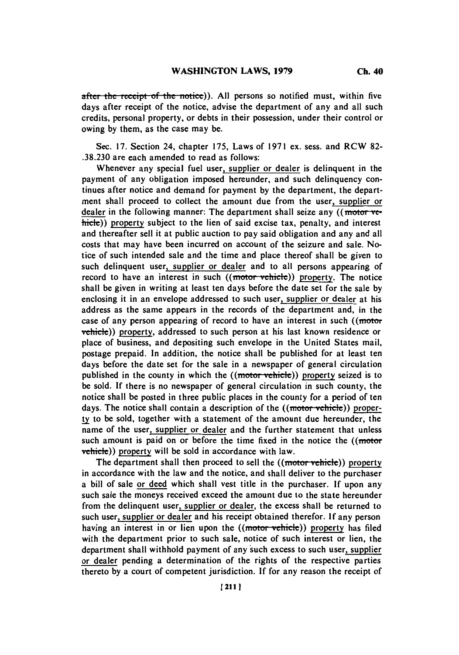**after the receipt of the notice). All persons so notified must, within five** days after receipt of the notice, advise the department of any and all such credits, personal property, or debts in their possession, under their control or owing **by** them, as the case may be.

Sec. **17.** Section 24, chapter **175,** Laws of **1971** ex. sess. and RCW **82- .38.230** are each amended to read as follows:

Whenever any special fuel user, supplier or dealer is delinquent in the payment of any obligation imposed hereunder, and such delinquency continues after notice and demand for payment **by** the department, the department shall proceed to collect the amount due from the user, supplier or dealer in the following manner: The department shall seize any  $((\text{motor ve-})$  $\overline{\text{hicle}}$ ) property subject to the lien of said excise tax, penalty, and interest and thereafter sell it at public auction to pay said obligation and any and all costs that may have been incurred on account of the seizure and sale. Notice of such intended sale and the time and place thereof shall be given to such delinquent user, supplier or dealer and to all persons appearing of record to have an interest in such  $((\text{motor vehicle}))$  property. The notice shall be given in writing at least ten days before the date set for the sale **by** enclosing it in an envelope addressed to such user, supplier or dealer at his address as the same appears in the records of the department and, in the case of any person appearing of record to have an interest in such  $($  motor vehicle)) property, addressed to such person at his last known residence or place of business, and depositing such envelope in the United States mail, postage prepaid. In addition, the notice shall be published for at least ten days before the date set for the sale in a newspaper of general circulation published in the county in which the  $((\text{motor vehicle}))$  property seized is to be sold. **If** there is no newspaper of general circulation in such county, the notice shall be posted in three public places in the county for a period of ten days. The notice shall contain a description of the  $((\text{motor vehicle}))$  proper**ly** to be sold, together with a statement of the amount due hereunder, the name of the user, supplier or dealer and the further statement that unless such amount is paid on or before the time fixed in the notice the  $((\text{motor})$ vehicle)) property will be sold in accordance with law.

The department shall then proceed to sell the ((motor vehicle)) property in accordance with the law and the notice, and shall deliver to the purchaser a bill of sale or deed which shall vest title in the purchaser. **If** upon any such sale the moneys received exceed the amount due to the state hereunder from the delinquent user, supplier or dealer, the excess shall be returned to such user, supplier or dealer and his receipt obtained therefor. **If** any person having an interest in or lien upon the ((motor-vehicle)) property has filed with the department prior to such sale, notice of such interest or lien, the department shall withhold payment of any such excess to such user, supplier or dealer pending a determination of the rights of the respective parties thereto **by** a court of competent jurisdiction. **If** for any reason the receipt of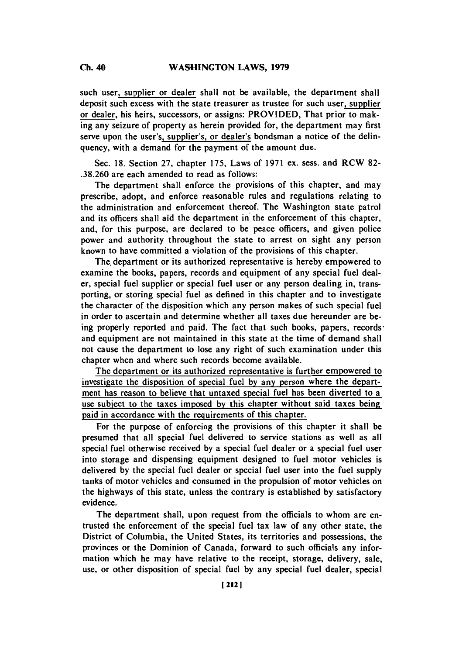such user, supplier or dealer shall not be available, the department shall deposit such excess with the state treasurer as trustee for such user, supplier or dealer, his heirs, successors, or assigns: PROVIDED, That prior to making any seizure of property as herein provided for, the department may first serve upon the user's, supplier's, or dealer's bondsman a notice of the delinquency, with a demand for the payment of the amount due.

Sec. **18.** Section **27,** chapter **175,** Laws of **1971** ex. sess. and RCW **82- .38.260** are each amended to read as follows:

The department shall enforce the provisions of this chapter, and may prescribe, adopt, and enforce reasonable rules and regulations relating to the administration and enforcement thereof. The Washington state patrol and its officers shall aid the department in the enforcement of this chapter, and, for this purpose, are declared to be peace officers, and given police power and authority throughout the state to arrest on sight any person known to have committed a violation of the provisions of this chapter.

The, department or its authorized representative is hereby empowered to examine the books, papers, records and equipment of any special fuel dealer, special fuel supplier or special fuel user or any person dealing in, transporting, or storing special fuel as defined in this chapter and to investigate the character of the disposition which any person makes of such special fuel in order to ascertain and determine whether all taxes due hereunder are being properly reported and paid. The fact that such books, papers, recordsand equipment are not maintained in this state at the time of demand shall not cause the department to lose any right of such examination under this chapter when and where such records become available.

The department or its authorized representative is further empowered to investigate the disposition of special fuel **by** any person where the department has reason to believe that untaxed special fuel has been diverted to a use subject to the taxes imposed **by** this chapter without said taxes being paid in accordance with the requirements of this chapter.

For the purpose of enforcing the provisions of this chapter it shall be presumed that all special fuel delivered to service stations as well as all special fuel otherwise received **by** a special fuel dealer or a special fuel user into storage and dispensing equipment designed to fuel motor vehicles is delivered **by** the special fuel dealer or special fuel user into the fuel supply tanks of motor vehicles and consumed in the propulsion of motor vehicles on the highways of this state, unless the contrary is established **by** satisfactory evidence.

The department shall, upon request from the officials to whom are entrusted the enforcement of the special fuel tax law of any other state, the District of Columbia, the United States, its territories and possessions, the provinces or the Dominion of Canada, forward to such officials any information which he may have relative to the receipt, storage, delivery, sale, use, or other disposition of special fuel **by** any special fuel dealer, special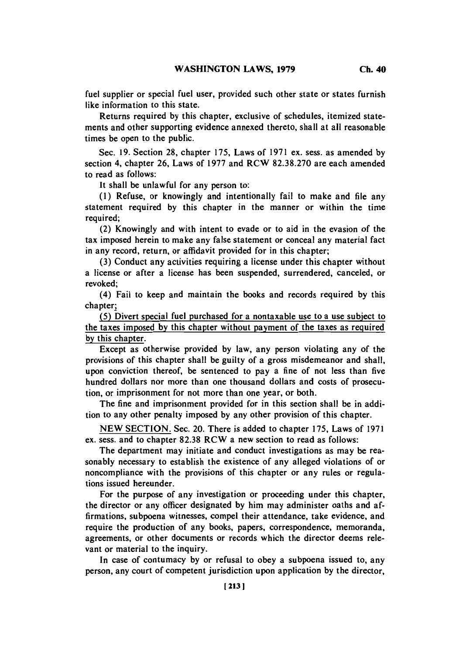fuel supplier or special fuel user, provided such other state or states furnish like information to this state.

Returns required **by** this chapter, exclusive of schedules, itemized statements and other supporting evidence annexed thereto, shall at all reasonable times be open to the public.

Sec. **19.** Section **28,** chapter **175,** Laws of **1971** ex. sess. as amended **by** section 4, chapter **26,** Laws of **1977** and RCW **82.38.270** are each amended to read as follows:

It shall be unlawful for any person to:

**(1)** Refuse, or knowingly and intentionally fail to make and file any statement required **by** this chapter in the manner or within the time required;

(2) Knowingly and with intent to evade or to aid in the evasion of the tax imposed herein to make any false statement or conceal any material fact in any record, return, or affidavit provided for in this chapter;

**(3)** Conduct any activities requiring a license under this chapter without a license or after a license has been suspended, surrendered, canceled, or revoked;

(4) Fail to keep and maintain the books and records required **by** this chapter;

**(5)** Divert special fuel purchased for a nontaxable use to a use subject to the taxes imposed **by** this chapter without payment of the taxes as required **by** this chapter.

Except as otherwise provided **by** law, any person violating any of the provisions of this chapter shall be guilty of a gross misdemeanor and shall, upon conviction thereof, be sentenced to pay a fine of not less than five hundred dollars nor more than one thousand dollars and costs of prosecution, or imprisonment for not more than one year, or both.

The fine and imprisonment provided for in this section shall **be** in addition to any other penalty imposed **by** any other provision of this chapter.

**NEW SECTION.** Sec. 20. There is added to chapter **175,** Laws of **1971** ex. sess. and to chapter **82.38** RCW a new section to read as follows:

The department may initiate and conduct investigations as may be reasonably necessary to establish the existence of any alleged violations of or noncompliance with the provisions of this chapter or any rules or regulations issued hereunder.

For the purpose of any investigation or proceeding under this chapter, the director or any officer designated **by** him may administer oaths and affirmations, subpoena witnesses, compel their attendance, take evidence, and require the production of any books, papers, correspondence, memoranda, agreements, or other documents or records which the director deems relevant or material to the inquiry.

In case of contumacy **by** or refusal to obey a subpoena issued to, any person, any court of competent jurisdiction upon application **by** the director,